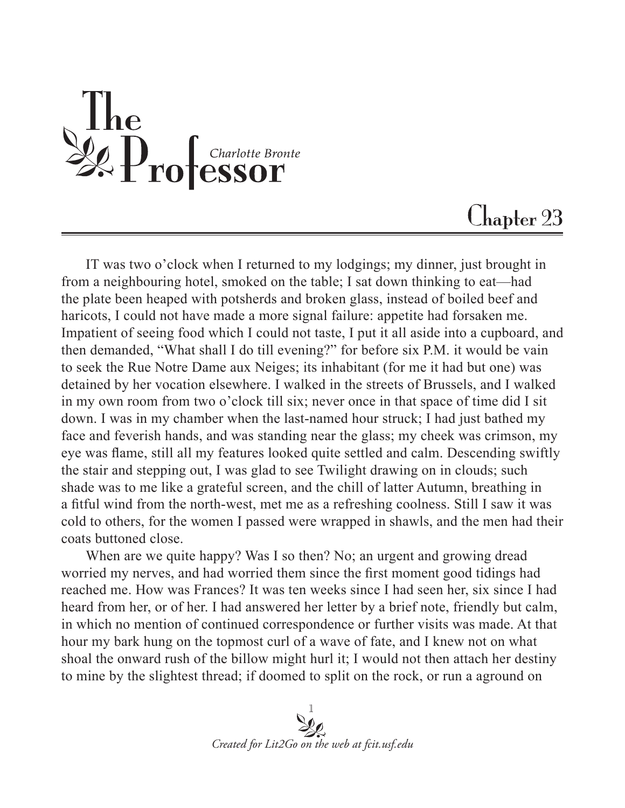The Secret Professor

## Chapter 23

IT was two o'clock when I returned to my lodgings; my dinner, just brought in from a neighbouring hotel, smoked on the table; I sat down thinking to eat—had the plate been heaped with potsherds and broken glass, instead of boiled beef and haricots, I could not have made a more signal failure: appetite had forsaken me. Impatient of seeing food which I could not taste, I put it all aside into a cupboard, and then demanded, "What shall I do till evening?" for before six P.M. it would be vain to seek the Rue Notre Dame aux Neiges; its inhabitant (for me it had but one) was detained by her vocation elsewhere. I walked in the streets of Brussels, and I walked in my own room from two o'clock till six; never once in that space of time did I sit down. I was in my chamber when the last-named hour struck; I had just bathed my face and feverish hands, and was standing near the glass; my cheek was crimson, my eye was flame, still all my features looked quite settled and calm. Descending swiftly the stair and stepping out, I was glad to see Twilight drawing on in clouds; such shade was to me like a grateful screen, and the chill of latter Autumn, breathing in a fitful wind from the north-west, met me as a refreshing coolness. Still I saw it was cold to others, for the women I passed were wrapped in shawls, and the men had their coats buttoned close.

When are we quite happy? Was I so then? No; an urgent and growing dread worried my nerves, and had worried them since the first moment good tidings had reached me. How was Frances? It was ten weeks since I had seen her, six since I had heard from her, or of her. I had answered her letter by a brief note, friendly but calm, in which no mention of continued correspondence or further visits was made. At that hour my bark hung on the topmost curl of a wave of fate, and I knew not on what shoal the onward rush of the billow might hurl it; I would not then attach her destiny to mine by the slightest thread; if doomed to split on the rock, or run a aground on

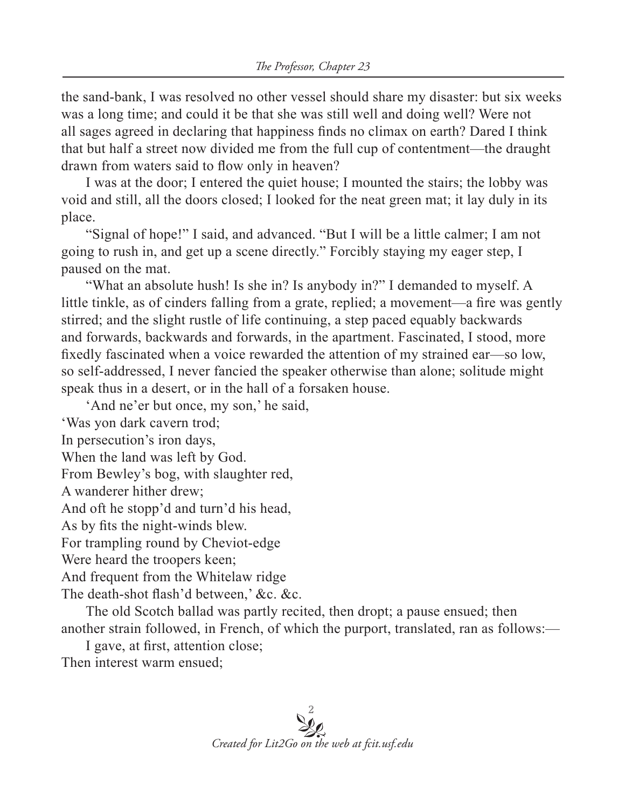the sand-bank, I was resolved no other vessel should share my disaster: but six weeks was a long time; and could it be that she was still well and doing well? Were not all sages agreed in declaring that happiness finds no climax on earth? Dared I think that but half a street now divided me from the full cup of contentment—the draught drawn from waters said to flow only in heaven?

I was at the door; I entered the quiet house; I mounted the stairs; the lobby was void and still, all the doors closed; I looked for the neat green mat; it lay duly in its place.

"Signal of hope!" I said, and advanced. "But I will be a little calmer; I am not going to rush in, and get up a scene directly." Forcibly staying my eager step, I paused on the mat.

"What an absolute hush! Is she in? Is anybody in?" I demanded to myself. A little tinkle, as of cinders falling from a grate, replied; a movement—a fire was gently stirred; and the slight rustle of life continuing, a step paced equably backwards and forwards, backwards and forwards, in the apartment. Fascinated, I stood, more fixedly fascinated when a voice rewarded the attention of my strained ear—so low, so self-addressed, I never fancied the speaker otherwise than alone; solitude might speak thus in a desert, or in the hall of a forsaken house.

'And ne'er but once, my son,' he said,

'Was yon dark cavern trod;

In persecution's iron days,

When the land was left by God.

From Bewley's bog, with slaughter red,

A wanderer hither drew;

And oft he stopp'd and turn'd his head,

As by fits the night-winds blew.

For trampling round by Cheviot-edge

Were heard the troopers keen;

And frequent from the Whitelaw ridge

The death-shot flash'd between,' &c. &c.

The old Scotch ballad was partly recited, then dropt; a pause ensued; then another strain followed, in French, of which the purport, translated, ran as follows:—

I gave, at first, attention close;

Then interest warm ensued;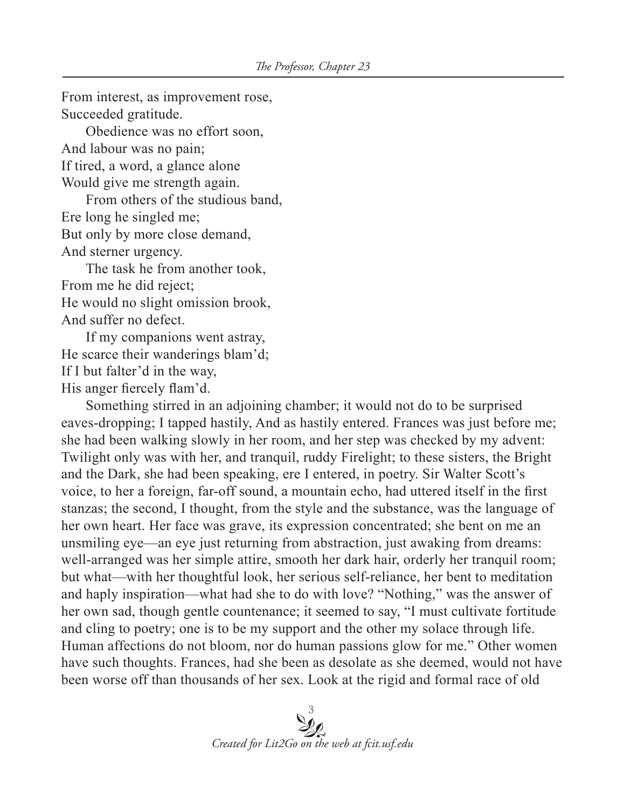From interest, as improvement rose, Succeeded gratitude. Obedience was no effort soon, And labour was no pain; If tired, a word, a glance alone Would give me strength again. From others of the studious band, Ere long he singled me; But only by more close demand, And sterner urgency. The task he from another took, From me he did reject; He would no slight omission brook, And suffer no defect. If my companions went astray, He scarce their wanderings blam'd; If I but falter'd in the way,

His anger fiercely flam'd.

Something stirred in an adjoining chamber; it would not do to be surprised eaves-dropping; I tapped hastily, And as hastily entered. Frances was just before me; she had been walking slowly in her room, and her step was checked by my advent: Twilight only was with her, and tranquil, ruddy Firelight; to these sisters, the Bright and the Dark, she had been speaking, ere I entered, in poetry. Sir Walter Scott's voice, to her a foreign, far-off sound, a mountain echo, had uttered itself in the first stanzas; the second, I thought, from the style and the substance, was the language of her own heart. Her face was grave, its expression concentrated; she bent on me an unsmiling eye—an eye just returning from abstraction, just awaking from dreams: well-arranged was her simple attire, smooth her dark hair, orderly her tranquil room; but what—with her thoughtful look, her serious self-reliance, her bent to meditation and haply inspiration—what had she to do with love? "Nothing," was the answer of her own sad, though gentle countenance; it seemed to say, "I must cultivate fortitude and cling to poetry; one is to be my support and the other my solace through life. Human affections do not bloom, nor do human passions glow for me." Other women have such thoughts. Frances, had she been as desolate as she deemed, would not have been worse off than thousands of her sex. Look at the rigid and formal race of old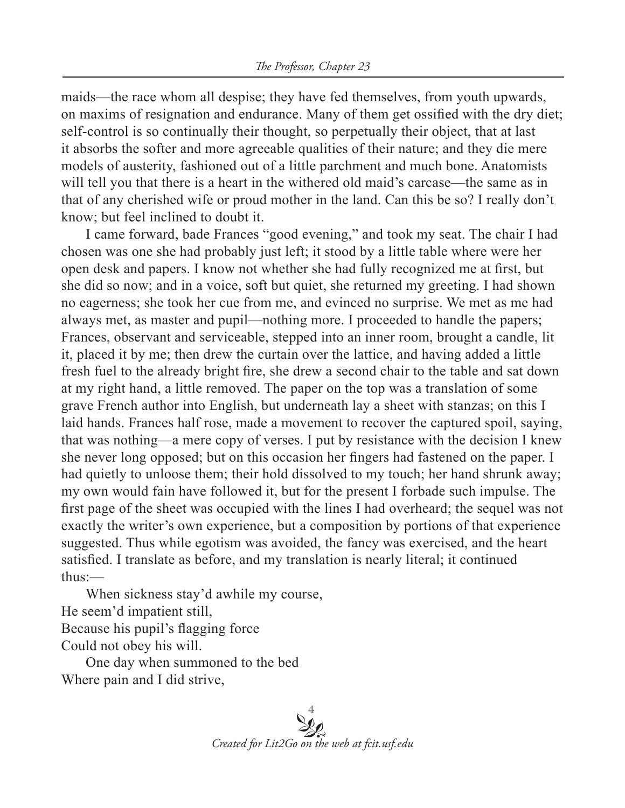maids—the race whom all despise; they have fed themselves, from youth upwards, on maxims of resignation and endurance. Many of them get ossified with the dry diet; self-control is so continually their thought, so perpetually their object, that at last it absorbs the softer and more agreeable qualities of their nature; and they die mere models of austerity, fashioned out of a little parchment and much bone. Anatomists will tell you that there is a heart in the withered old maid's carcase—the same as in that of any cherished wife or proud mother in the land. Can this be so? I really don't know; but feel inclined to doubt it.

I came forward, bade Frances "good evening," and took my seat. The chair I had chosen was one she had probably just left; it stood by a little table where were her open desk and papers. I know not whether she had fully recognized me at first, but she did so now; and in a voice, soft but quiet, she returned my greeting. I had shown no eagerness; she took her cue from me, and evinced no surprise. We met as me had always met, as master and pupil—nothing more. I proceeded to handle the papers; Frances, observant and serviceable, stepped into an inner room, brought a candle, lit it, placed it by me; then drew the curtain over the lattice, and having added a little fresh fuel to the already bright fire, she drew a second chair to the table and sat down at my right hand, a little removed. The paper on the top was a translation of some grave French author into English, but underneath lay a sheet with stanzas; on this I laid hands. Frances half rose, made a movement to recover the captured spoil, saying, that was nothing—a mere copy of verses. I put by resistance with the decision I knew she never long opposed; but on this occasion her fingers had fastened on the paper. I had quietly to unloose them; their hold dissolved to my touch; her hand shrunk away; my own would fain have followed it, but for the present I forbade such impulse. The first page of the sheet was occupied with the lines I had overheard; the sequel was not exactly the writer's own experience, but a composition by portions of that experience suggested. Thus while egotism was avoided, the fancy was exercised, and the heart satisfied. I translate as before, and my translation is nearly literal; it continued thus:—

When sickness stay'd awhile my course, He seem'd impatient still, Because his pupil's flagging force Could not obey his will.

One day when summoned to the bed Where pain and I did strive,

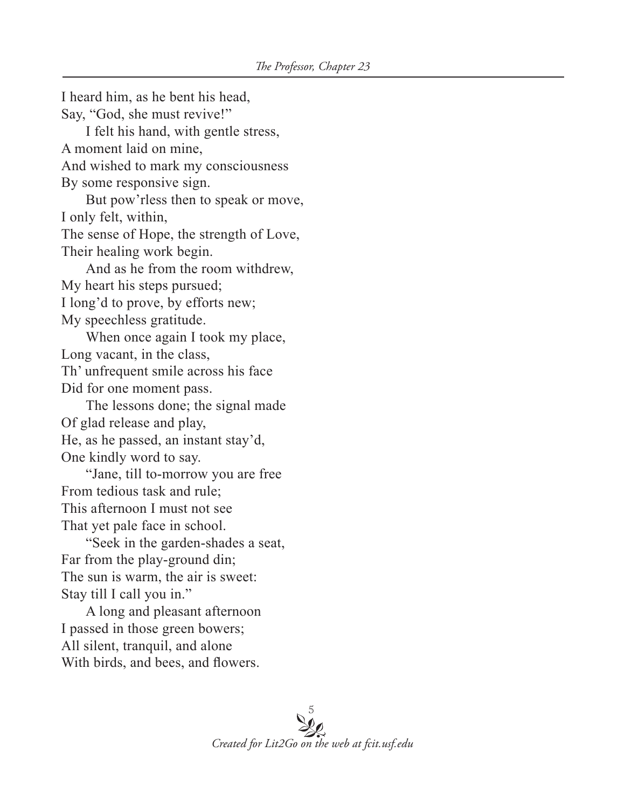I heard him, as he bent his head, Say, "God, she must revive!" I felt his hand, with gentle stress, A moment laid on mine, And wished to mark my consciousness By some responsive sign. But pow'rless then to speak or move, I only felt, within, The sense of Hope, the strength of Love, Their healing work begin. And as he from the room withdrew, My heart his steps pursued; I long'd to prove, by efforts new; My speechless gratitude. When once again I took my place, Long vacant, in the class, Th' unfrequent smile across his face Did for one moment pass. The lessons done; the signal made Of glad release and play, He, as he passed, an instant stay'd, One kindly word to say. "Jane, till to-morrow you are free From tedious task and rule; This afternoon I must not see That yet pale face in school. "Seek in the garden-shades a seat, Far from the play-ground din; The sun is warm, the air is sweet: Stay till I call you in." A long and pleasant afternoon I passed in those green bowers; All silent, tranquil, and alone With birds, and bees, and flowers.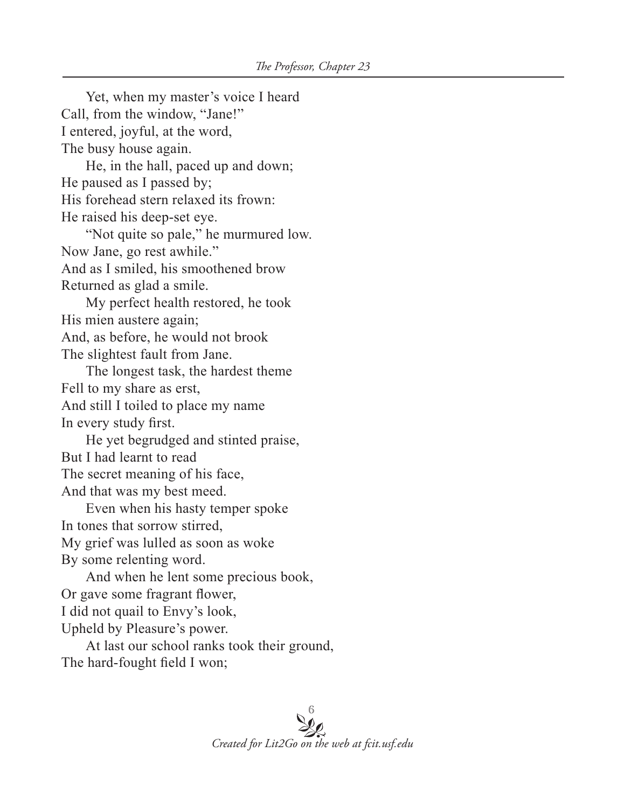Yet, when my master's voice I heard Call, from the window, "Jane!" I entered, joyful, at the word, The busy house again. He, in the hall, paced up and down; He paused as I passed by; His forehead stern relaxed its frown: He raised his deep-set eye. "Not quite so pale," he murmured low. Now Jane, go rest awhile." And as I smiled, his smoothened brow Returned as glad a smile. My perfect health restored, he took His mien austere again; And, as before, he would not brook The slightest fault from Jane. The longest task, the hardest theme Fell to my share as erst, And still I toiled to place my name In every study first. He yet begrudged and stinted praise, But I had learnt to read The secret meaning of his face, And that was my best meed. Even when his hasty temper spoke In tones that sorrow stirred, My grief was lulled as soon as woke By some relenting word. And when he lent some precious book, Or gave some fragrant flower, I did not quail to Envy's look, Upheld by Pleasure's power. At last our school ranks took their ground,

The hard-fought field I won;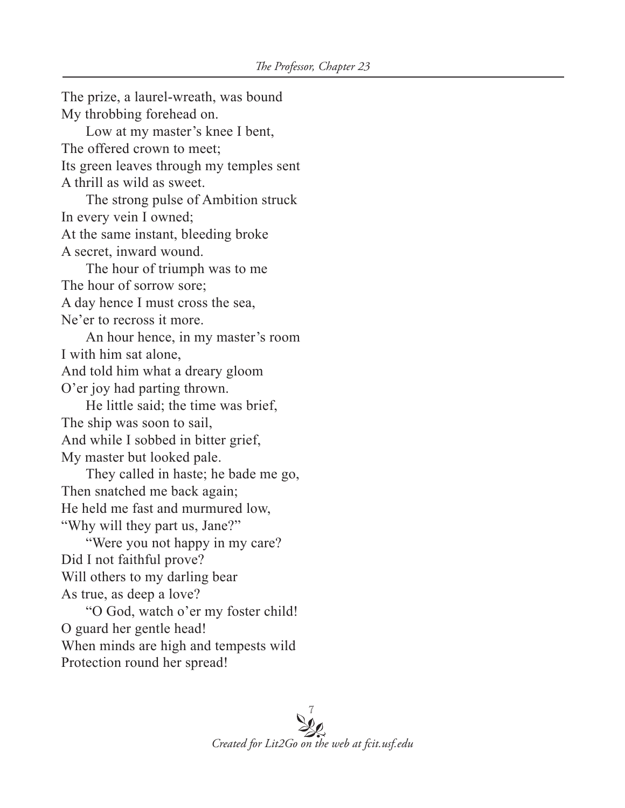The prize, a laurel-wreath, was bound My throbbing forehead on. Low at my master's knee I bent, The offered crown to meet; Its green leaves through my temples sent A thrill as wild as sweet. The strong pulse of Ambition struck In every vein I owned; At the same instant, bleeding broke A secret, inward wound. The hour of triumph was to me The hour of sorrow sore; A day hence I must cross the sea, Ne'er to recross it more. An hour hence, in my master's room I with him sat alone, And told him what a dreary gloom O'er joy had parting thrown. He little said; the time was brief, The ship was soon to sail, And while I sobbed in bitter grief, My master but looked pale. They called in haste; he bade me go, Then snatched me back again; He held me fast and murmured low, "Why will they part us, Jane?" "Were you not happy in my care? Did I not faithful prove? Will others to my darling bear As true, as deep a love? "O God, watch o'er my foster child! O guard her gentle head! When minds are high and tempests wild Protection round her spread!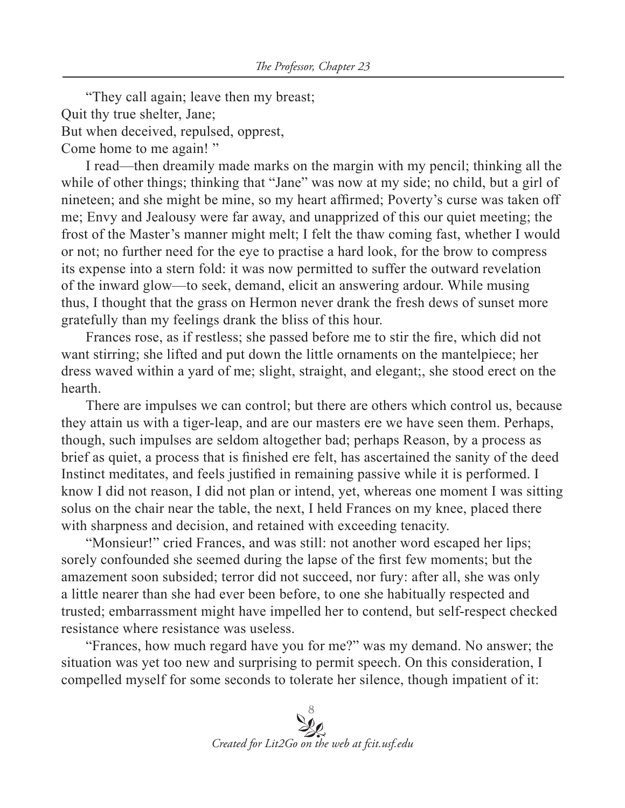"They call again; leave then my breast; Quit thy true shelter, Jane; But when deceived, repulsed, opprest, Come home to me again! "

I read—then dreamily made marks on the margin with my pencil; thinking all the while of other things; thinking that "Jane" was now at my side; no child, but a girl of nineteen; and she might be mine, so my heart affirmed; Poverty's curse was taken off me; Envy and Jealousy were far away, and unapprized of this our quiet meeting; the frost of the Master's manner might melt; I felt the thaw coming fast, whether I would or not; no further need for the eye to practise a hard look, for the brow to compress its expense into a stern fold: it was now permitted to suffer the outward revelation of the inward glow—to seek, demand, elicit an answering ardour. While musing thus, I thought that the grass on Hermon never drank the fresh dews of sunset more gratefully than my feelings drank the bliss of this hour.

Frances rose, as if restless; she passed before me to stir the fire, which did not want stirring; she lifted and put down the little ornaments on the mantelpiece; her dress waved within a yard of me; slight, straight, and elegant;, she stood erect on the hearth.

There are impulses we can control; but there are others which control us, because they attain us with a tiger-leap, and are our masters ere we have seen them. Perhaps, though, such impulses are seldom altogether bad; perhaps Reason, by a process as brief as quiet, a process that is finished ere felt, has ascertained the sanity of the deed Instinct meditates, and feels justified in remaining passive while it is performed. I know I did not reason, I did not plan or intend, yet, whereas one moment I was sitting solus on the chair near the table, the next, I held Frances on my knee, placed there with sharpness and decision, and retained with exceeding tenacity.

"Monsieur!" cried Frances, and was still: not another word escaped her lips; sorely confounded she seemed during the lapse of the first few moments; but the amazement soon subsided; terror did not succeed, nor fury: after all, she was only a little nearer than she had ever been before, to one she habitually respected and trusted; embarrassment might have impelled her to contend, but self-respect checked resistance where resistance was useless.

"Frances, how much regard have you for me?" was my demand. No answer; the situation was yet too new and surprising to permit speech. On this consideration, I compelled myself for some seconds to tolerate her silence, though impatient of it: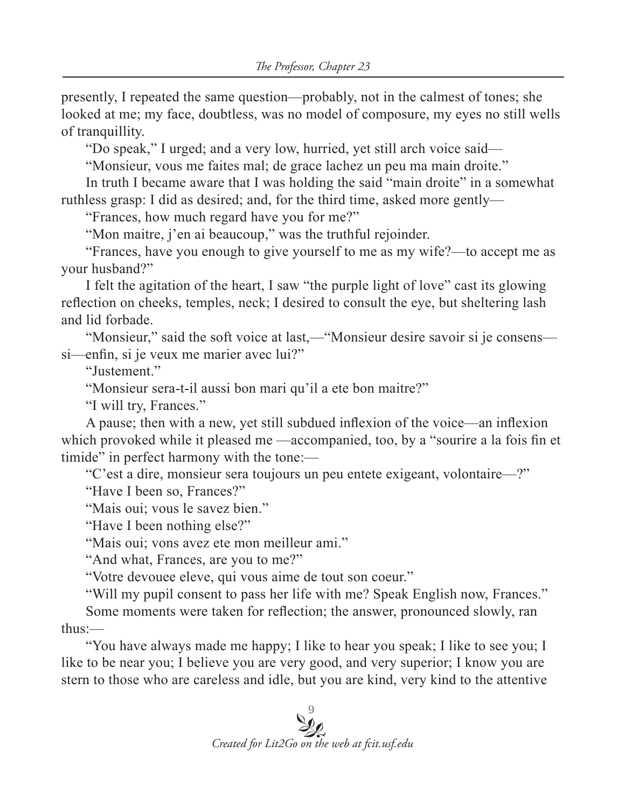presently, I repeated the same question—probably, not in the calmest of tones; she looked at me; my face, doubtless, was no model of composure, my eyes no still wells of tranquillity.

"Do speak," I urged; and a very low, hurried, yet still arch voice said—

"Monsieur, vous me faites mal; de grace lachez un peu ma main droite."

In truth I became aware that I was holding the said "main droite" in a somewhat ruthless grasp: I did as desired; and, for the third time, asked more gently—

"Frances, how much regard have you for me?"

"Mon maitre, j'en ai beaucoup," was the truthful rejoinder.

"Frances, have you enough to give yourself to me as my wife?—to accept me as your husband?"

I felt the agitation of the heart, I saw "the purple light of love" cast its glowing reflection on cheeks, temples, neck; I desired to consult the eye, but sheltering lash and lid forbade.

"Monsieur," said the soft voice at last,—"Monsieur desire savoir si je consens si—enfin, si je veux me marier avec lui?"

"Justement."

"Monsieur sera-t-il aussi bon mari qu'il a ete bon maitre?"

"I will try, Frances."

A pause; then with a new, yet still subdued inflexion of the voice—an inflexion which provoked while it pleased me —accompanied, too, by a "sourire a la fois fin et timide" in perfect harmony with the tone:—

"C'est a dire, monsieur sera toujours un peu entete exigeant, volontaire—?"

"Have I been so, Frances?"

"Mais oui; vous le savez bien."

"Have I been nothing else?"

"Mais oui; vons avez ete mon meilleur ami."

"And what, Frances, are you to me?"

"Votre devouee eleve, qui vous aime de tout son coeur."

"Will my pupil consent to pass her life with me? Speak English now, Frances."

Some moments were taken for reflection; the answer, pronounced slowly, ran thus:—

"You have always made me happy; I like to hear you speak; I like to see you; I like to be near you; I believe you are very good, and very superior; I know you are stern to those who are careless and idle, but you are kind, very kind to the attentive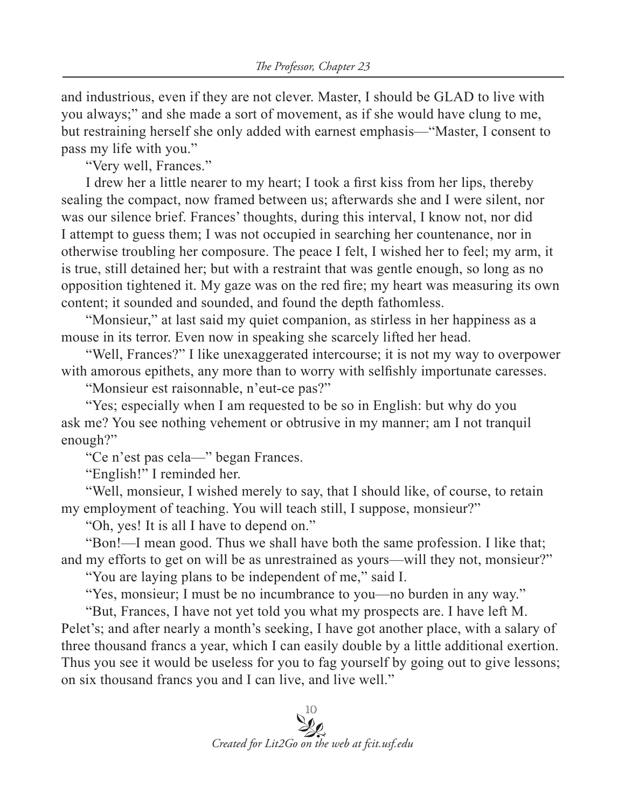and industrious, even if they are not clever. Master, I should be GLAD to live with you always;" and she made a sort of movement, as if she would have clung to me, but restraining herself she only added with earnest emphasis—"Master, I consent to pass my life with you."

"Very well, Frances."

I drew her a little nearer to my heart; I took a first kiss from her lips, thereby sealing the compact, now framed between us; afterwards she and I were silent, nor was our silence brief. Frances' thoughts, during this interval, I know not, nor did I attempt to guess them; I was not occupied in searching her countenance, nor in otherwise troubling her composure. The peace I felt, I wished her to feel; my arm, it is true, still detained her; but with a restraint that was gentle enough, so long as no opposition tightened it. My gaze was on the red fire; my heart was measuring its own content; it sounded and sounded, and found the depth fathomless.

"Monsieur," at last said my quiet companion, as stirless in her happiness as a mouse in its terror. Even now in speaking she scarcely lifted her head.

"Well, Frances?" I like unexaggerated intercourse; it is not my way to overpower with amorous epithets, any more than to worry with selfishly importunate caresses.

"Monsieur est raisonnable, n'eut-ce pas?"

"Yes; especially when I am requested to be so in English: but why do you ask me? You see nothing vehement or obtrusive in my manner; am I not tranquil enough?"

"Ce n'est pas cela—" began Frances.

"English!" I reminded her.

"Well, monsieur, I wished merely to say, that I should like, of course, to retain my employment of teaching. You will teach still, I suppose, monsieur?"

"Oh, yes! It is all I have to depend on."

"Bon!—I mean good. Thus we shall have both the same profession. I like that; and my efforts to get on will be as unrestrained as yours—will they not, monsieur?"

"You are laying plans to be independent of me," said I.

"Yes, monsieur; I must be no incumbrance to you—no burden in any way."

"But, Frances, I have not yet told you what my prospects are. I have left M. Pelet's; and after nearly a month's seeking, I have got another place, with a salary of three thousand francs a year, which I can easily double by a little additional exertion. Thus you see it would be useless for you to fag yourself by going out to give lessons; on six thousand francs you and I can live, and live well."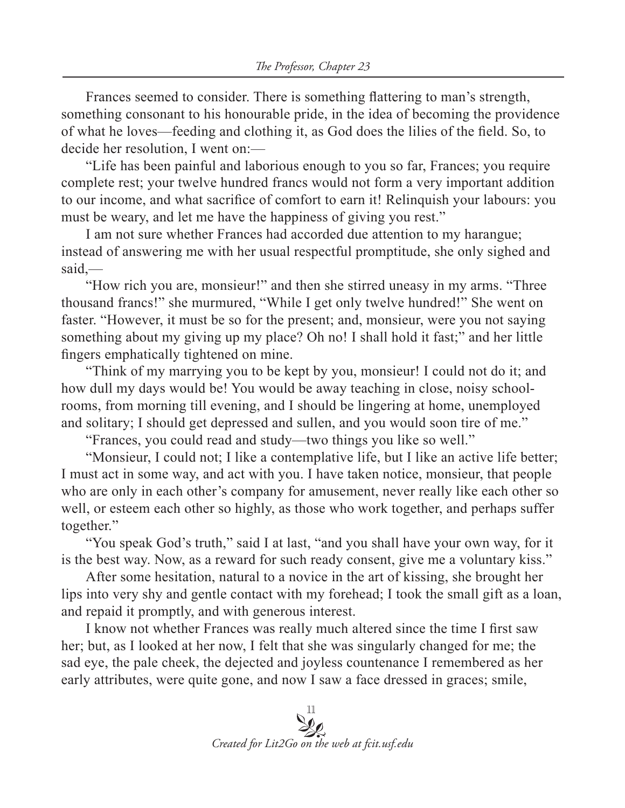Frances seemed to consider. There is something flattering to man's strength, something consonant to his honourable pride, in the idea of becoming the providence of what he loves—feeding and clothing it, as God does the lilies of the field. So, to decide her resolution, I went on:—

"Life has been painful and laborious enough to you so far, Frances; you require complete rest; your twelve hundred francs would not form a very important addition to our income, and what sacrifice of comfort to earn it! Relinquish your labours: you must be weary, and let me have the happiness of giving you rest."

I am not sure whether Frances had accorded due attention to my harangue; instead of answering me with her usual respectful promptitude, she only sighed and said,—

"How rich you are, monsieur!" and then she stirred uneasy in my arms. "Three thousand francs!" she murmured, "While I get only twelve hundred!" She went on faster. "However, it must be so for the present; and, monsieur, were you not saying something about my giving up my place? Oh no! I shall hold it fast;" and her little fingers emphatically tightened on mine.

"Think of my marrying you to be kept by you, monsieur! I could not do it; and how dull my days would be! You would be away teaching in close, noisy schoolrooms, from morning till evening, and I should be lingering at home, unemployed and solitary; I should get depressed and sullen, and you would soon tire of me."

"Frances, you could read and study—two things you like so well."

"Monsieur, I could not; I like a contemplative life, but I like an active life better; I must act in some way, and act with you. I have taken notice, monsieur, that people who are only in each other's company for amusement, never really like each other so well, or esteem each other so highly, as those who work together, and perhaps suffer together."

"You speak God's truth," said I at last, "and you shall have your own way, for it is the best way. Now, as a reward for such ready consent, give me a voluntary kiss."

After some hesitation, natural to a novice in the art of kissing, she brought her lips into very shy and gentle contact with my forehead; I took the small gift as a loan, and repaid it promptly, and with generous interest.

I know not whether Frances was really much altered since the time I first saw her; but, as I looked at her now, I felt that she was singularly changed for me; the sad eye, the pale cheek, the dejected and joyless countenance I remembered as her early attributes, were quite gone, and now I saw a face dressed in graces; smile,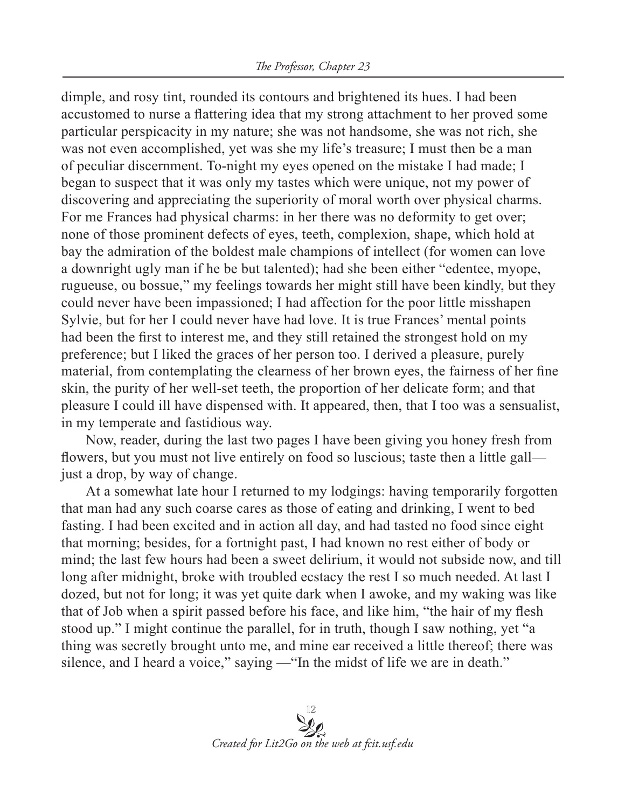dimple, and rosy tint, rounded its contours and brightened its hues. I had been accustomed to nurse a flattering idea that my strong attachment to her proved some particular perspicacity in my nature; she was not handsome, she was not rich, she was not even accomplished, yet was she my life's treasure; I must then be a man of peculiar discernment. To-night my eyes opened on the mistake I had made; I began to suspect that it was only my tastes which were unique, not my power of discovering and appreciating the superiority of moral worth over physical charms. For me Frances had physical charms: in her there was no deformity to get over; none of those prominent defects of eyes, teeth, complexion, shape, which hold at bay the admiration of the boldest male champions of intellect (for women can love a downright ugly man if he be but talented); had she been either "edentee, myope, rugueuse, ou bossue," my feelings towards her might still have been kindly, but they could never have been impassioned; I had affection for the poor little misshapen Sylvie, but for her I could never have had love. It is true Frances' mental points had been the first to interest me, and they still retained the strongest hold on my preference; but I liked the graces of her person too. I derived a pleasure, purely material, from contemplating the clearness of her brown eyes, the fairness of her fine skin, the purity of her well-set teeth, the proportion of her delicate form; and that pleasure I could ill have dispensed with. It appeared, then, that I too was a sensualist, in my temperate and fastidious way.

Now, reader, during the last two pages I have been giving you honey fresh from flowers, but you must not live entirely on food so luscious; taste then a little gall just a drop, by way of change.

At a somewhat late hour I returned to my lodgings: having temporarily forgotten that man had any such coarse cares as those of eating and drinking, I went to bed fasting. I had been excited and in action all day, and had tasted no food since eight that morning; besides, for a fortnight past, I had known no rest either of body or mind; the last few hours had been a sweet delirium, it would not subside now, and till long after midnight, broke with troubled ecstacy the rest I so much needed. At last I dozed, but not for long; it was yet quite dark when I awoke, and my waking was like that of Job when a spirit passed before his face, and like him, "the hair of my flesh stood up." I might continue the parallel, for in truth, though I saw nothing, yet "a thing was secretly brought unto me, and mine ear received a little thereof; there was silence, and I heard a voice," saying — "In the midst of life we are in death."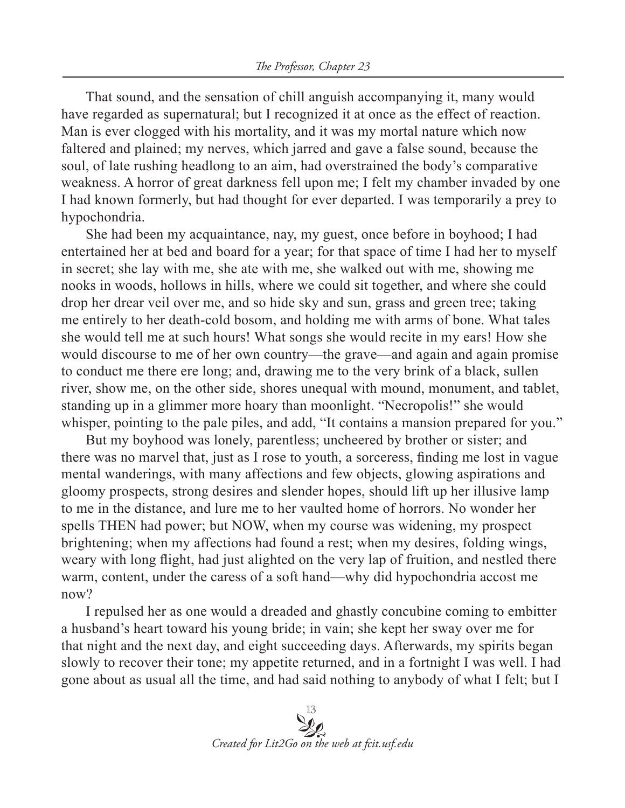That sound, and the sensation of chill anguish accompanying it, many would have regarded as supernatural; but I recognized it at once as the effect of reaction. Man is ever clogged with his mortality, and it was my mortal nature which now faltered and plained; my nerves, which jarred and gave a false sound, because the soul, of late rushing headlong to an aim, had overstrained the body's comparative weakness. A horror of great darkness fell upon me; I felt my chamber invaded by one I had known formerly, but had thought for ever departed. I was temporarily a prey to hypochondria.

She had been my acquaintance, nay, my guest, once before in boyhood; I had entertained her at bed and board for a year; for that space of time I had her to myself in secret; she lay with me, she ate with me, she walked out with me, showing me nooks in woods, hollows in hills, where we could sit together, and where she could drop her drear veil over me, and so hide sky and sun, grass and green tree; taking me entirely to her death-cold bosom, and holding me with arms of bone. What tales she would tell me at such hours! What songs she would recite in my ears! How she would discourse to me of her own country—the grave—and again and again promise to conduct me there ere long; and, drawing me to the very brink of a black, sullen river, show me, on the other side, shores unequal with mound, monument, and tablet, standing up in a glimmer more hoary than moonlight. "Necropolis!" she would whisper, pointing to the pale piles, and add, "It contains a mansion prepared for you."

But my boyhood was lonely, parentless; uncheered by brother or sister; and there was no marvel that, just as I rose to youth, a sorceress, finding me lost in vague mental wanderings, with many affections and few objects, glowing aspirations and gloomy prospects, strong desires and slender hopes, should lift up her illusive lamp to me in the distance, and lure me to her vaulted home of horrors. No wonder her spells THEN had power; but NOW, when my course was widening, my prospect brightening; when my affections had found a rest; when my desires, folding wings, weary with long flight, had just alighted on the very lap of fruition, and nestled there warm, content, under the caress of a soft hand—why did hypochondria accost me now?

I repulsed her as one would a dreaded and ghastly concubine coming to embitter a husband's heart toward his young bride; in vain; she kept her sway over me for that night and the next day, and eight succeeding days. Afterwards, my spirits began slowly to recover their tone; my appetite returned, and in a fortnight I was well. I had gone about as usual all the time, and had said nothing to anybody of what I felt; but I